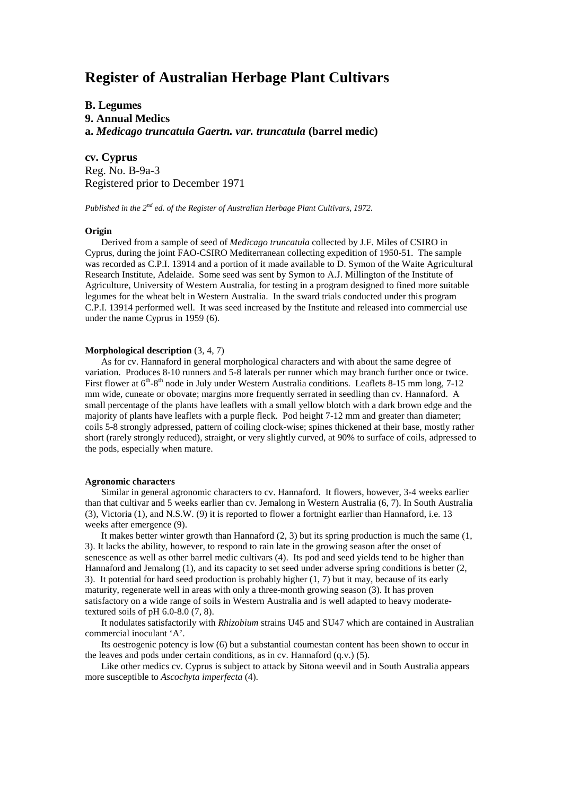# **Register of Australian Herbage Plant Cultivars**

## **B. Legumes 9. Annual Medics a.** *Medicago truncatula Gaertn. var. truncatula* **(barrel medic)**

**cv. Cyprus** Reg. No. B-9a-3 Registered prior to December 1971

*Published in the 2nd ed. of the Register of Australian Herbage Plant Cultivars, 1972.*

### **Origin**

Derived from a sample of seed of *Medicago truncatula* collected by J.F. Miles of CSIRO in Cyprus, during the joint FAO-CSIRO Mediterranean collecting expedition of 1950-51. The sample was recorded as C.P.I. 13914 and a portion of it made available to D. Symon of the Waite Agricultural Research Institute, Adelaide. Some seed was sent by Symon to A.J. Millington of the Institute of Agriculture, University of Western Australia, for testing in a program designed to fined more suitable legumes for the wheat belt in Western Australia. In the sward trials conducted under this program C.P.I. 13914 performed well. It was seed increased by the Institute and released into commercial use under the name Cyprus in 1959 (6).

### **Morphological description** (3, 4, 7)

As for cv. Hannaford in general morphological characters and with about the same degree of variation. Produces 8-10 runners and 5-8 laterals per runner which may branch further once or twice. First flower at  $6<sup>th</sup> - 8<sup>th</sup>$  node in July under Western Australia conditions. Leaflets 8-15 mm long, 7-12 mm wide, cuneate or obovate; margins more frequently serrated in seedling than cv. Hannaford. A small percentage of the plants have leaflets with a small yellow blotch with a dark brown edge and the majority of plants have leaflets with a purple fleck. Pod height 7-12 mm and greater than diameter; coils 5-8 strongly adpressed, pattern of coiling clock-wise; spines thickened at their base, mostly rather short (rarely strongly reduced), straight, or very slightly curved, at 90% to surface of coils, adpressed to the pods, especially when mature.

#### **Agronomic characters**

Similar in general agronomic characters to cv. Hannaford. It flowers, however, 3-4 weeks earlier than that cultivar and 5 weeks earlier than cv. Jemalong in Western Australia (6, 7). In South Australia (3), Victoria (1), and N.S.W. (9) it is reported to flower a fortnight earlier than Hannaford, i.e. 13 weeks after emergence (9).

It makes better winter growth than Hannaford  $(2, 3)$  but its spring production is much the same  $(1, 1)$ 3). It lacks the ability, however, to respond to rain late in the growing season after the onset of senescence as well as other barrel medic cultivars (4). Its pod and seed yields tend to be higher than Hannaford and Jemalong (1), and its capacity to set seed under adverse spring conditions is better (2, 3). It potential for hard seed production is probably higher (1, 7) but it may, because of its early maturity, regenerate well in areas with only a three-month growing season (3). It has proven satisfactory on a wide range of soils in Western Australia and is well adapted to heavy moderatetextured soils of pH  $6.0-8.0$   $(7, 8)$ .

It nodulates satisfactorily with *Rhizobium* strains U45 and SU47 which are contained in Australian commercial inoculant 'A'.

Its oestrogenic potency is low (6) but a substantial coumestan content has been shown to occur in the leaves and pods under certain conditions, as in cv. Hannaford (q.v.) (5).

Like other medics cv. Cyprus is subject to attack by Sitona weevil and in South Australia appears more susceptible to *Ascochyta imperfecta* (4).